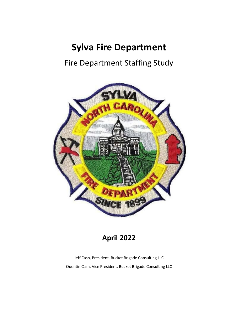# **Sylva Fire Department**

# Fire Department Staffing Study



# **April 2022**

Jeff Cash, President, Bucket Brigade Consulting LLC Quentin Cash, Vice President, Bucket Brigade Consulting LLC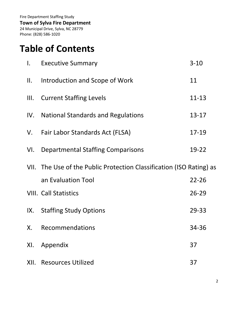**Town of Sylva Fire Department**

24 Municipal Drive, Sylva, NC 28779 Phone: (828) 586-1020

# **Table of Contents**

| $\mathsf{L}$ | <b>Executive Summary</b>                                             | $3 - 10$  |
|--------------|----------------------------------------------------------------------|-----------|
| Ш.           | Introduction and Scope of Work                                       | 11        |
| III.         | <b>Current Staffing Levels</b>                                       | $11 - 13$ |
|              | IV. National Standards and Regulations                               | $13 - 17$ |
| V.           | Fair Labor Standards Act (FLSA)                                      | 17-19     |
| VI.          | <b>Departmental Staffing Comparisons</b>                             | 19-22     |
|              | VII. The Use of the Public Protection Classification (ISO Rating) as |           |
|              | an Evaluation Tool                                                   | $22 - 26$ |
|              | <b>VIII. Call Statistics</b>                                         | $26 - 29$ |
| IX.          | <b>Staffing Study Options</b>                                        | 29-33     |
| Х.           | Recommendations                                                      | 34-36     |
| XI.          | Appendix                                                             | 37        |
|              |                                                                      |           |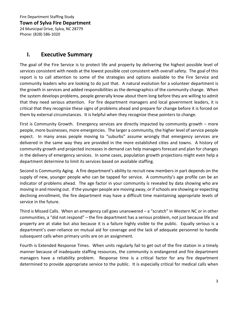Fire Department Staffing Study **Town of Sylva Fire Department** 24 Municipal Drive, Sylva, NC 28779 Phone: (828) 586-1020

# **I. Executive Summary**

The goal of the Fire Service is to protect life and property by delivering the highest possible level of services consistent with needs at the lowest possible cost consistent with overall safety. The goal of this report is to call attention to some of the strategies and options available to the Fire Service and community leaders who are looking to do just that. A natural evolution for a volunteer department is the growth in services and added responsibilities as the demographics of the community change. When the system develops problems, people generally know about them long before they are willing to admit that they need serious attention. For fire department managers and local government leaders, it is critical that they recognize these signs of problems ahead and prepare for change before it is forced on them by external circumstances. It is helpful when they recognize these pointers to change.

First is Community Growth. Emergency services are directly impacted by community growth – more people, more businesses, more emergencies. The larger a community, the higher level of service people expect. In many areas people moving to "suburbs" assume wrongly that emergency services are delivered in the same way they are provided in the more established cities and towns. A history of community growth and projected increases in demand can help managers forecast and plan for changes in the delivery of emergency services. In some cases, population growth projections might even help a department determine to limit its services based on available staffing.

Second is Community Aging. A fire department's ability to recruit new members in part depends on the supply of new, younger people who can be tapped for service. A community's age profile can be an indicator of problems ahead. The age factor in your community is revealed by data showing who are moving in and moving out. If the younger people are moving away, or if schools are showing or expecting declining enrollment, the fire department may have a difficult time maintaining appropriate levels of service in the future.

Third is Missed Calls. When an emergency call goes unanswered – a "scratch" in Western NC or in other communities, a "did not respond" – the fire department has a serious problem, not just because life and property are at stake but also because it is a failure highly visible to the public. Equally serious is a department's over-reliance on mutual aid for coverage and the lack of adequate personnel to handle subsequent calls when primary units are on an assignment.

Fourth is Extended Response Times. When units regularly fail to get out of the fire station in a timely manner because of inadequate staffing resources, the community is endangered and fire department managers have a reliability problem. Response time is a critical factor for any fire department determined to provide appropriate service to the public. It is especially critical for medical calls when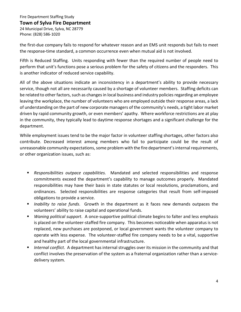#### **Town of Sylva Fire Department**

24 Municipal Drive, Sylva, NC 28779 Phone: (828) 586-1020

the first-due company fails to respond for whatever reason and an EMS unit responds but fails to meet the response-time standard, a common occurrence even when mutual aid is not involved.

Fifth is Reduced Staffing. Units responding with fewer than the required number of people need to perform that unit's functions pose a serious problem for the safety of citizens and the responders. This is another indicator of reduced service capability.

All of the above situations indicate an inconsistency in a department's ability to provide necessary service, though not all are necessarily caused by a shortage of volunteer members. Staffing deficits can be related to other factors, such as changes in local business and industry policies regarding an employee leaving the workplace, the number of volunteers who are employed outside their response areas, a lack of understanding on the part of new corporate managers of the community's needs, a tight labor market driven by rapid community growth, or even members' apathy. Where workforce restrictions are at play in the community, they typically lead to daytime response shortages and a significant challenge for the department.

While employment issues tend to be the major factor in volunteer staffing shortages, other factors also contribute. Decreased interest among members who fail to participate could be the result of unreasonable community expectations, some problem with the fire department's internal requirements, or other organization issues, such as:

- *Responsibilities outpace capabilities.* Mandated and selected responsibilities and response commitments exceed the department's capability to manage outcomes properly. Mandated responsibilities may have their basis in state statutes or local resolutions, proclamations, and ordinances. Selected responsibilities are response categories that result from self-imposed obligations to provide a service.
- *Inability to raise funds*. Growth in the department as it faces new demands outpaces the volunteers' ability to raise capital and operational funds.
- *Waning political support*. A once-supportive political climate begins to falter and less emphasis is placed on the volunteer-staffed fire company. This becomes noticeable when apparatus is not replaced, new purchases are postponed, or local government wants the volunteer company to operate with less expense. The volunteer-staffed fire company needs to be a vital, supportive and healthy part of the local governmental infrastructure.
- *Internal conflict*. A department has internal struggles over its mission in the community and that conflict involves the preservation of the system as a fraternal organization rather than a servicedelivery system.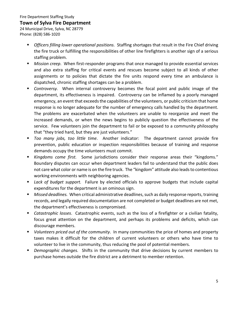# **Town of Sylva Fire Department**

24 Municipal Drive, Sylva, NC 28779 Phone: (828) 586-1020

- *Officers filling lower operational positions.* Staffing shortages that result in the Fire Chief driving the fire truck or fulfilling the responsibilities of other line firefighters is another sign of a serious staffing problem.
- *Mission creep*. When first-responder programs that once managed to provide essential services and also extra staffing for critical events and rescues become subject to all kinds of other assignments or to policies that dictate the fire units respond every time an ambulance is dispatched, chronic staffing shortages can be a problem.
- *Controversy.* When internal controversy becomes the focal point and public image of the department, its effectiveness is impaired. Controversy can be inflamed by a poorly managed emergency, an event that exceeds the capabilities of the volunteers, or public criticism that home response is no longer adequate for the number of emergency calls handled by the department. The problems are exacerbated when the volunteers are unable to reorganize and meet the increased demands, or when the news begins to publicly question the effectiveness of the service. Few volunteers join the department to fail or be exposed to a community philosophy that "they tried hard, but they are just volunteers."
- *Too many jobs, too little time*. Another indicator: The department cannot provide fire prevention, public education or inspection responsibilities because of training and response demands occupy the time volunteers must commit.
- *Kingdoms come first.* Some jurisdictions consider their response areas their "kingdoms." Boundary disputes can occur when department leaders fail to understand that the public does not care what color or name is on the fire truck. The "kingdom" attitude also leads to contentious working environments with neighboring agencies.
- *Lack of budget support.* Failure by elected officials to approve budgets that include capital expenditures for the department is an ominous sign.
- *Missed deadlines.* When critical administrative deadlines, such as daily response reports, training records, and legally required documentation are not completed or budget deadlines are not met, the department's effectiveness is compromised.
- *Catastrophic losses*. Catastrophic events, such as the loss of a firefighter or a civilian fatality, focus great attention on the department, and perhaps its problems and deficits, which can discourage members.
- *Volunteers priced out of the community*. In many communities the price of homes and property taxes makes it difficult for the children of current volunteers or others who have time to volunteer to live in the community, thus reducing the pool of potential members.
- *Demographic changes.* Shifts in the community that drive decisions by current members to purchase homes outside the fire district are a detriment to member retention.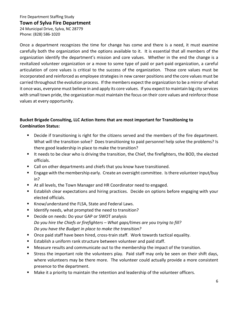### **Town of Sylva Fire Department**

24 Municipal Drive, Sylva, NC 28779 Phone: (828) 586-1020

Once a department recognizes the time for change has come and there is a need, it must examine carefully both the organization and the options available to it. It is essential that all members of the organization identify the department's mission and core values. Whether in the end the change is a revitalized volunteer organization or a move to some type of paid or part-paid organization, a careful articulation of core values is critical to the success of the organization. Those core values must be incorporated and reinforced as employee strategies in new career positions and the core values must be carried throughout the evolution process. If the members expect the organization to be a mirror of what it once was, everyone must believe in and apply its core values. If you expect to maintain big city services with small town pride, the organization must maintain the focus on their core values and reinforce those values at every opportunity.

# **Bucket Brigade Consulting, LLC Action Items that are most important for Transitioning to Combination Status:**

- **Decide if transitioning is right for the citizens served and the members of the fire department.** What will the transition solve? Does transitioning to paid personnel help solve the problems? Is there good leadership in place to make the transition?
- It needs to be clear who is driving the transition, the Chief, the firefighters, the BOD, the elected officials.
- Call on other departments and chiefs that you know have transitioned.
- **Engage with the membership early. Create an oversight committee. Is there volunteer input/buy** in?
- At all levels, the Town Manager and HR Coordinator need to engaged.
- **Establish clear expectations and hiring practices. Decide on options before engaging with your** elected officials.
- Know/understand the FLSA, State and Federal Laws.
- Identify needs, what prompted the need to transition?
- Decide on needs: Do your GAP or SWOT analysis *Do you hire the Chiefs or firefighters – What gaps/times are you trying to fill? Do you have the Budget in place to make the transition?*
- Once paid staff have been hired, cross-train staff. Work towards tactical equality.
- **Establish a uniform rank structure between volunteer and paid staff.**
- Measure results and communicate out to the membership the impact of the transition.
- Stress the important role the volunteers play. Paid staff may only be seen on their shift days, where volunteers may be there more. The volunteer could actually provide a more consistent presence to the department.
- **Make it a priority to maintain the retention and leadership of the volunteer officers.**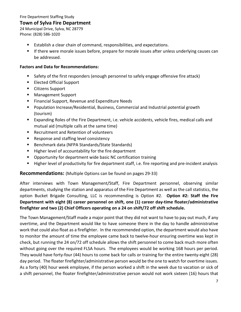# **Town of Sylva Fire Department**

24 Municipal Drive, Sylva, NC 28779 Phone: (828) 586-1020

- Establish a clear chain of command, responsibilities, and expectations.
- **If there were morale issues before, prepare for morale issues after unless underlying causes can** be addressed.

## **Factors and Data for Recommendations:**

- Safety of the first responders (enough personnel to safely engage offensive fire attack)
- **Elected Official Support**
- Citizens Support
- Management Support
- **Financial Support, Revenue and Expenditure Needs**
- Population Increase/Residential, Business, Commercial and Industrial potential growth (tourism)
- Expanding Roles of the Fire Department, i.e. vehicle accidents, vehicle fires, medical calls and mutual aid (multiple calls at the same time)
- Recruitment and Retention of volunteers
- Response and staffing level consistency
- Benchmark data (NFPA Standards/State Standards)
- Higher level of accountability for the fire department
- **Opportunity for department wide basic NC certification training**
- Higher level of productivity for fire department staff, i.e. fire reporting and pre-incident analysis

# **Recommendations:** (Multiple Options can be found on pages 29-33)

After interviews with Town Management/Staff, Fire Department personnel, observing similar departments, studying the station and apparatus of the Fire Department as well as the call statistics, the option Bucket Brigade Consulting, LLC is recommending is Option #2. **Option #2: Staff the Fire Department with eight (8) career personnel on shift, one (1) career day-time floater/administrative firefighter and two (2) Chief Officers operating on a 24 on shift/72 off shift schedule.**

The Town Management/Staff made a major point that they did not want to have to pay out much, if any overtime, and the Department would like to have someone there in the day to handle administrative work that could also float as a firefighter. In the recommended option, the department would also have to monitor the amount of time the employee came back to twelve-hour ensuring overtime was kept in check, but running the 24 on/72 off schedule allows the shift personnel to come back much more often without going over the required FLSA hours. The employees would be working 168 hours per period. They would have forty-four (44) hours to come back for calls or training for the entire twenty-eight (28) day period. The floater firefighter/administrative person would be the one to watch for overtime issues. As a forty (40) hour week employee, if the person worked a shift in the week due to vacation or sick of a shift personnel, the floater firefighter/administrative person would not work sixteen (16) hours that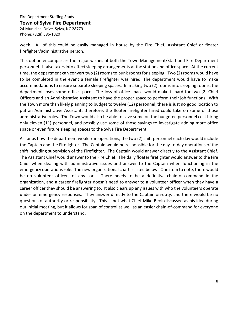#### **Town of Sylva Fire Department**

24 Municipal Drive, Sylva, NC 28779 Phone: (828) 586-1020

week. All of this could be easily managed in house by the Fire Chief, Assistant Chief or floater firefighter/administrative person.

This option encompasses the major wishes of both the Town Management/Staff and Fire Department personnel. It also takes into effect sleeping arrangements at the station and office space. At the current time, the department can convert two (2) rooms to bunk rooms for sleeping. Two (2) rooms would have to be completed in the event a female firefighter was hired. The department would have to make accommodations to ensure separate sleeping spaces. In making two (2) rooms into sleeping rooms, the department loses some office space. The loss of office space would make it hard for two (2) Chief Officers and an Administrative Assistant to have the proper space to perform their job functions. With the Town more than likely planning to budget to twelve (12) personnel, there is just no good location to put an Administrative Assistant; therefore, the floater firefighter hired could take on some of those administrative roles. The Town would also be able to save some on the budgeted personnel cost hiring only eleven (11) personnel, and possibly use some of those savings to investigate adding more office space or even future sleeping spaces to the Sylva Fire Department.

As far as how the department would run operations, the two (2) shift personnel each day would include the Captain and the Firefighter. The Captain would be responsible for the day-to-day operations of the shift including supervision of the Firefighter. The Captain would answer directly to the Assistant Chief. The Assistant Chief would answer to the Fire Chief. The daily floater firefighter would answer to the Fire Chief when dealing with administrative issues and answer to the Captain when functioning in the emergency operations role. The new organizational chart is listed below. One item to note, there would be no volunteer officers of any sort. There needs to be a definitive chain-of-command in the organization, and a career firefighter doesn't need to answer to a volunteer officer when they have a career officer they should be answering to. It also clears up any issues with who the volunteers operate under on emergency responses. They answer directly to the Captain on-duty, and there would be no questions of authority or responsibility. This is not what Chief Mike Beck discussed as his idea during our initial meeting, but it allows for span of control as well as an easier chain-of-command for everyone on the department to understand.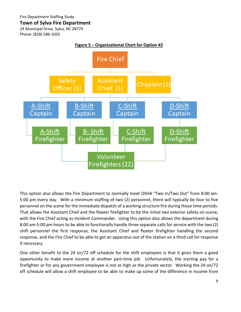24 Municipal Drive, Sylva, NC 28779 Phone: (828) 586-1020



This option also allows the Fire Department to normally meet OSHA "Two In/Two Out" from 8:00 am-5:00 pm every day. With a minimum staffing of two (2) personnel, there will typically be four to five personnel on the scene for the immediate dispatch of a working structure fire during those time periods. That allows the Assistant Chief and the floater firefighter to be the initial two exterior safety on-scene, with the Fire Chief acting as Incident Commander. Using this option also allows the department during 8:00 am-5:00 pm hours to be able to functionally handle three separate calls for service with the two (2) shift personnel the first response, the Assistant Chief and floater firefighter handling the second response, and the Fire Chief to be able to get an apparatus out of the station on a third call for response if necessary.

One other benefit to the 24 on/72 off schedule for the shift employees is that it gives them a good opportunity to make more income at another part-time job. Unfortunately, the starting pay for a firefighter or for any government employee is not as high as the private sector. Working the 24 on/72 off schedule will allow a shift employee to be able to make up some of the difference in income from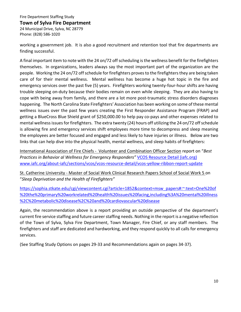## **Town of Sylva Fire Department**

24 Municipal Drive, Sylva, NC 28779 Phone: (828) 586-1020

working a government job. It is also a good recruitment and retention tool that fire departments are finding successful.

A final important item to note with the 24 on/72 off scheduling is the wellness benefit for the firefighters themselves. In organizations, leaders always say the most important part of the organization are the people. Working the 24 on/72 off schedule for firefighters proves to the firefighters they are being taken care of for their mental wellness. Mental wellness has become a huge hot topic in the fire and emergency services over the past five (5) years. Firefighters working twenty-four-hour shifts are having trouble sleeping on-duty because their bodies remain on even while sleeping. They are also having to cope with being away from family, and there are a lot more post-traumatic stress disorders diagnoses happening. The North Carolina State Firefighters' Association has been working on some of these mental wellness issues over the past few years creating the First Responder Assistance Program (FRAP) and getting a BlueCross Blue Shield grant of \$250,000.00 to help pay co-pays and other expenses related to mental wellness issues for firefighters. The extra twenty (24) hours off utilizing the 24 on/72 off schedule is allowing fire and emergency services shift employees more time to decompress and sleep meaning the employees are better focused and engaged and less likely to have injuries or illness. Below are two links that can help dive into the physical health, mental wellness, and sleep habits of firefighters:

International Association of Fire Chiefs - Volunteer and Combination Officer Section report on "*Best Practices in Behavior al Wellness for Emergency Responders"* [VCOS Resource Detail \(iafc.org\)](https://www.iafc.org/about-iafc/sections/vcos/vcos-resource-detail/vcos-yellow-ribbon-report-update) [www.iafc.org/about-iafc/sections/vcos/vcos-resource-detail/vcos-yellow-ribbon-report-update](http://www.iafc.org/about-iafc/sections/vcos/vcos-resource-detail/vcos-yellow-ribbon-report-update)

St. Catherine University - Master of Social Work Clinical Research Papers School of Social Work 5 on "*Sleep Deprivation and the Health of Firefighters"* 

[https://sophia.stkate.edu/cgi/viewcontent.cgi?article=1852&context=msw\\_papers#:~:text=One%20of](https://sophia.stkate.edu/cgi/viewcontent.cgi?article=1852&context=msw_papers#:%7E:text=One%20of%20the%20primary%20workrelated%20health%20issues%20facing,including%3A%20mental%20illness%2C%20metabolic%20disease%2C%20and%20cardiovascular%20disease) [%20the%20primary%20workrelated%20health%20issues%20facing,including%3A%20mental%20illness](https://sophia.stkate.edu/cgi/viewcontent.cgi?article=1852&context=msw_papers#:%7E:text=One%20of%20the%20primary%20workrelated%20health%20issues%20facing,including%3A%20mental%20illness%2C%20metabolic%20disease%2C%20and%20cardiovascular%20disease) [%2C%20metabolic%20disease%2C%20and%20cardiovascular%20disease](https://sophia.stkate.edu/cgi/viewcontent.cgi?article=1852&context=msw_papers#:%7E:text=One%20of%20the%20primary%20workrelated%20health%20issues%20facing,including%3A%20mental%20illness%2C%20metabolic%20disease%2C%20and%20cardiovascular%20disease)

Again, the recommendation above is a report providing an outside perspective of the department's current fire service staffing and future career staffing needs. Nothing in the report is a negative reflection of the Town of Sylva, Sylva Fire Department, Town Manager, Fire Chief, or any staff members. The firefighters and staff are dedicated and hardworking, and they respond quickly to all calls for emergency services.

(See Staffing Study Options on pages 29-33 and Recommendations again on pages 34-37).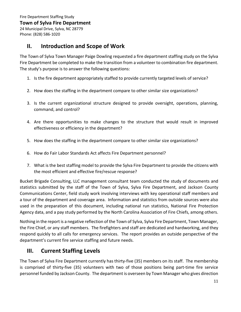24 Municipal Drive, Sylva, NC 28779 Phone: (828) 586-1020

# **II. Introduction and Scope of Work**

The Town of Sylva Town Manager Paige Dowling requested a fire department staffing study on the Sylva Fire Department be completed to make the transition from a volunteer to combination fire department. The study's purpose is to answer the following questions:

- 1. Is the fire department appropriately staffed to provide currently targeted levels of service?
- 2. How does the staffing in the department compare to other similar size organizations?
- 3. Is the current organizational structure designed to provide oversight, operations, planning, command, and control?
- 4. Are there opportunities to make changes to the structure that would result in improved effectiveness or efficiency in the department?
- 5. How does the staffing in the department compare to other similar size organizations?
- 6. How do Fair Labor Standards Act affects Fire Department personnel?
- 7. What is the best staffing model to provide the Sylva Fire Department to provide the citizens with the most efficient and effective fire/rescue response?

Bucket Brigade Consulting, LLC management consultant team conducted the study of documents and statistics submitted by the staff of the Town of Sylva, Sylva Fire Department, and Jackson County Communications Center, field study work involving interviews with key operational staff members and a tour of the department and coverage area. Information and statistics from outside sources were also used in the preparation of this document, including national run statistics, National Fire Protection Agency data, and a pay study performed by the North Carolina Association of Fire Chiefs, among others.

Nothing in the report is a negative reflection of the Town of Sylva, Sylva Fire Department, Town Manager, the Fire Chief, or any staff members. The firefighters and staff are dedicated and hardworking, and they respond quickly to all calls for emergency services. The report provides an outside perspective of the department's current fire service staffing and future needs.

# **III. Current Staffing Levels**

The Town of Sylva Fire Department currently has thirty-five (35) members on its staff. The membership is comprised of thirty-five (35) volunteers with two of those positions being part-time fire service personnel funded by Jackson County. The department is overseen by Town Manager who gives direction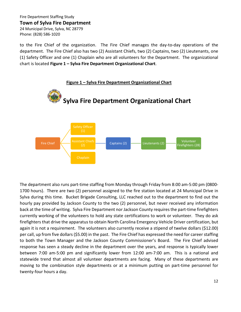24 Municipal Drive, Sylva, NC 28779 Phone: (828) 586-1020

to the Fire Chief of the organization. The Fire Chief manages the day-to-day operations of the department. The Fire Chief also has two (2) Assistant Chiefs, two (2) Captains, two (2) Lieutenants, one (1) Safety Officer and one (1) Chaplain who are all volunteers for the Department. The organizational chart is located **Figure 1 – Sylva Fire Department Organizational Chart**.



The department also runs part-time staffing from Monday through Friday from 8:00 am-5:00 pm (0800- 1700 hours). There are two (2) personnel assigned to the fire station located at 24 Municipal Drive in Sylva during this time. Bucket Brigade Consulting, LLC reached out to the department to find out the hourly pay provided by Jackson County to the two (2) personnel, but never received any information back at the time of writing. Sylva Fire Department nor Jackson County requires the part-time firefighters currently working of the volunteers to hold any state certifications to work or volunteer. They do ask firefighters that drive the apparatus to obtain North Carolina Emergency Vehicle Driver certification, but again it is not a requirement. The volunteers also currently receive a stipend of twelve dollars (\$12.00) per call, up from five dollars (\$5.00) in the past. The Fire Chief has expressed the need for career staffing to both the Town Manager and the Jackson County Commissioner's Board. The Fire Chief advised response has seen a steady decline in the department over the years, and response is typically lower between 7:00 am-5:00 pm and significantly lower from 12:00 am-7:00 am. This is a national and statewide trend that almost all volunteer departments are facing. Many of these departments are moving to the combination style departments or at a minimum putting on part-time personnel for twenty-four hours a day.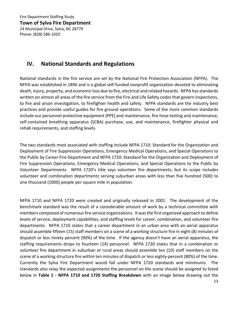24 Municipal Drive, Sylva, NC 28779 Phone: (828) 586-1020

# **IV. National Standards and Regulations**

National standards in the fire service are set by the National Fire Protection Association (NFPA). The NFPA was established in 1896 and is a global self-funded nonprofit organization devoted to eliminating death, injury, property, and economic loss due to fire, electrical and related hazards. NFPA has standards written on almost all areas of the fire service from the Fire and Life Safety codes that govern inspections, to fire and arson investigation, to firefighter health and safety. NFPA standards are the industry best practices and provide useful guides for fire ground operations. Some of the more common standards include our personnel protective equipment (PPE) and maintenance, fire hose testing and maintenance, self-contained breathing apparatus (SCBA) purchase, use, and maintenance, firefighter physical and rehab requirements, and staffing levels.

The two standards most associated with staffing include NFPA 1710: Standard for the Organization and Deployment of Fire Suppression Operations, Emergency Medical Operations, and Special Operations to the Public by Career Fire Department and NFPA 1720: Standard for the Organization and Deployment of Fire Suppression Operations, Emergency Medical Operations, and Special Operations to the Public by Volunteer Departments. NFPA 1720's title says volunteer fire departments, but its scope includes volunteer and combination departments serving suburban areas with less than five hundred (500) to one thousand (1000) people per square mile in population.

NFPA 1710 and NFPA 1720 were created and originally released in 2001. The development of the benchmark standard was the result of a considerable amount of work by a technical committee with members composed of numerous fire service organizations. It was the first organized approach to define levels of service, deployment capabilities, and staffing levels for career, combination, and volunteer fire departments. NFPA 1710 states that a career department in an urban area with an aerial apparatus should assemble fifteen (15) staff members on a scene of a working structure fire in eight (8) minutes of dispatch or less ninety percent (90%) of the time. If the agency doesn't have an aerial apparatus, the staffing requirements drops to fourteen (14) personnel. NFPA 1720 states that in a combination or volunteer fire department in suburban or rural areas should assemble ten (10) staff members on the scene of a working structure fire within ten minutes of dispatch or less eighty-percent (80%) of the time. Currently the Sylva Fire Department would fall under NFPA 1720 standards and minimums. The standards also relay the expected assignments the personnel on the scene should be assigned to listed below in **Table 1 - NFPA 1710 and 1720 Staffing Breakdown** with an image below drawing out the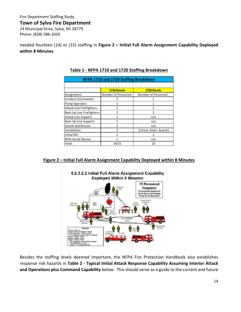#### **Town of Sylva Fire Department**

24 Municipal Drive, Sylva, NC 28779 Phone: (828) 586-1020

needed fourteen (14) or (15) staffing in **Figure 2 – Initial Full Alarm Assignment Capability Deployed within 8 Minutes**.

| <b>NFPA 1710 and 1720 Staffing Breakdown</b> |                      |                         |  |  |  |  |
|----------------------------------------------|----------------------|-------------------------|--|--|--|--|
|                                              |                      |                         |  |  |  |  |
|                                              | 1710 Needs           | 1720 Needs              |  |  |  |  |
| Assignment:                                  | Number of Personnel: | Number of Personnel:    |  |  |  |  |
| Incident Commander:                          |                      |                         |  |  |  |  |
| Pump Operator:                               |                      |                         |  |  |  |  |
| Attack Line Firefighters:                    | $\mathfrak z$        | $\mathfrak{p}$          |  |  |  |  |
| Back-Up Line Firefighters:                   | $\mathfrak z$        | $\mathfrak{p}$          |  |  |  |  |
| Attack Line Support:                         |                      | n/a                     |  |  |  |  |
| Back-Up Line Support:                        | 1                    | n/a                     |  |  |  |  |
| Search and Rescue:                           | 2                    | n/a                     |  |  |  |  |
| Ventilation:                                 | 2                    | 2 (Vent, Enter, Search) |  |  |  |  |
| Initial RIC:                                 | $\mathcal{P}$        | $\mathfrak z$           |  |  |  |  |
| With Aerial Device:                          | 1                    | n/a                     |  |  |  |  |
| Total:                                       | 14/15                | 10                      |  |  |  |  |

## **Table 1 - NFPA 1710 and 1720 Staffing Breakdown**

## **Figure 2 – Initial Full Alarm Assignment Capability Deployed within 8 Minutes**



Besides the staffing levels deemed important, the NFPA Fire Protection Handbook also establishes response risk hazards in **Table 2 - Typical Initial Attack Response Capability Assuming Interior Attack and Operations plus Command Capability** below. This should serve as a guide to the current and future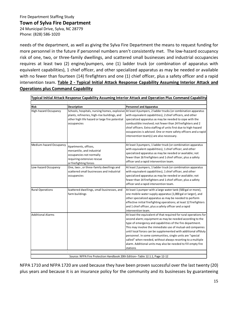## **Town of Sylva Fire Department**

24 Municipal Drive, Sylva, NC 28779 Phone: (828) 586-1020

needs of the department, as well as giving the Sylva Fire Department the means to request funding for more personnel in the future if personnel numbers aren't consistently met. The low-hazard occupancy risk of one, two, or three-family dwellings, and scattered small businesses and industrial occupancies requires at least two (2) engine/pumpers, one (1) ladder truck (or combination of apparatus with equivalent capabilities), 1 chief officer, and other specialized apparatus as may be needed or available with no fewer than fourteen (14) firefighters and one (1) chief officer, plus a safety officer and a rapid intervention team. **Table 2 - Typical Initial Attack Response Capability Assuming Interior Attack and Operations plus Command Capability**

|                                             | Typical Initial Attack Response Capability Assuming Interior Attack and Operation Plus Command Capability                                                                    |                                                                                                                                                                                                                                                                                                                                                                                                                                                                                                                                       |  |  |  |  |
|---------------------------------------------|------------------------------------------------------------------------------------------------------------------------------------------------------------------------------|---------------------------------------------------------------------------------------------------------------------------------------------------------------------------------------------------------------------------------------------------------------------------------------------------------------------------------------------------------------------------------------------------------------------------------------------------------------------------------------------------------------------------------------|--|--|--|--|
|                                             |                                                                                                                                                                              |                                                                                                                                                                                                                                                                                                                                                                                                                                                                                                                                       |  |  |  |  |
| <b>Risk</b><br><b>High-hazard Occupancy</b> | Description<br>Schools, hospitals, nursing homes, explosive<br>plants, refineries, high-rise buildings, and<br>other high life hazard or large fire potential<br>occupancies | <b>Personnel and Apparatus</b><br>At least 4 pumpers, 2 ladder trucks (or combination apparatus<br>with equivalent capabilities), 2 chief officers, and other<br>specialized apparatus as may be needed to cope with the<br>combustible involved; not fewer than 24 firefighters and 2<br>chief officers. Extra staffing of units first due to high-hazard<br>occupancies is advised. One or more safety officers and a rapid<br>intervention team(s) are also necessary.                                                             |  |  |  |  |
| Medium-hazard Occupancy                     | Apartments, offices,<br>mercantile, and industrial<br>occupancies not normally<br>requiring extensive rescue<br>or firefighting forces                                       | At least 3 pumpers, 1 ladder truck (or combination apparatus<br>with equivalent capabilities), 1 chief officer, and other<br>specialized apparatus as may be needed or available; not<br>fewer than 16 firefighters and 1 chief officer, plus a safety<br>officer and a rapid intervention team.                                                                                                                                                                                                                                      |  |  |  |  |
| Low-hazard Occupancy                        | One, two-, or three-family dwellings and<br>scattered small businesses and industrial<br>occupancies                                                                         | At least 2 pumpers, 1 ladder truck (or combination apparatus<br>with equivalent capabilities), 1 chief officer, and other<br>specialized apparatus as may be needed or available; not<br>fewer than 14 firefighters and 1 chief officer, plus a safety<br>officer and a rapid intervention team.                                                                                                                                                                                                                                      |  |  |  |  |
| <b>Rural Operations</b>                     | Scattered dwellings, small businesses, and<br>farm buildings                                                                                                                 | At least 1 pumper with a large water tank (500 gal or more),<br>one mobile water supply apparatus (1,000 gal or larger), and<br>other specialized apparatus as may be needed to perform<br>effective initial firefighting operations; at least 12 firefighters<br>and 1 chief officer, plus a safety officer and a rapid<br>intervention team.                                                                                                                                                                                        |  |  |  |  |
| <b>Additional Alarms</b>                    |                                                                                                                                                                              | At least the equivalent of that required for rural operations for<br>second alarm; equipment as may be needed according to the<br>type of emergency and capabilities of the fire department.<br>This may involve the immediate use of mutual-aid companies<br>until local forces can be supplemented with additional offduty<br>personnel. In some communities, single units are "special<br>called" when needed, without always resorting to a multiple<br>alarm. Additional units may also be needed to fill empty fire<br>stations |  |  |  |  |
|                                             | Source: NFPA Fire Protection Handbook 20th Edition-Table 12.1.1, Page 12-12                                                                                                  |                                                                                                                                                                                                                                                                                                                                                                                                                                                                                                                                       |  |  |  |  |

NFPA 1710 and NFPA 1720 are used because they have been proven successful over the last twenty (20) plus years and because it is an insurance policy for the community and its businesses by guaranteeing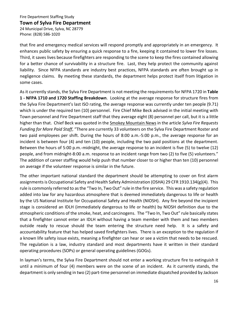#### **Town of Sylva Fire Department**

24 Municipal Drive, Sylva, NC 28779 Phone: (828) 586-1020

that fire and emergency medical services will respond promptly and appropriately in an emergency. It enhances public safety by ensuring a quick response to a fire, keeping it contained to lower fire losses. Third, it saves lives because firefighters are responding to the scene to keep the fires contained allowing for a better chance of survivability in a structure fire. Last, they help protect the community against liability. Since NFPA standards are industry best practices, NFPA standards are often brought up in negligence claims. By meeting these standards, the department helps protect itself from litigation in some cases.

As it currently stands, the Sylva Fire Department is not meeting the requirements for NFPA 1720 in **Table 1 - NFPA 1710 and 1720 Staffing Breakdown**. Looking at the average response for structure fires from the Sylva Fire Department's last ISO rating, the average response was currently under ten people (9.71) which is under the required ten (10) personnel. Fire Chief Mike Beck advised in the initial meeting with Town personnel and Fire Department staff that they average eight (8) personnel per call, but it is a little higher than that. Chief Beck was quoted in the Smokey Mountain News in the article *Sylva Fire Requests Funding for More Paid Staff*, "There are currently 33 volunteers on the Sylva Fire Department Roster and two paid employees per shift. During the hours of 8:00 a.m.-5:00 p.m., the average response for an incident is between four (4) and ten (10) people, including the two paid positions at the department. Between the hours of 5:00 p.m.-midnight, the average response to an incident is five (5) to twelve (12) people, and from midnight-8:00 a.m. response to an incident range from two (2) to five (5) volunteers." The addition of career staffing would help push that number closer to or higher than ten (10) personnel on average if the volunteer response is similar in the future.

The other important national standard the department should be attempting to cover on first alarm assignments is Occupational Safety and Health Safety Administration (OSHA) 29 CFR 1910.134(g)(4). This rule is commonly referred to as the "Two In, Two Out" rule in the fire service. This was a safety regulation added into law for any hazardous atmosphere that is deemed immediately dangerous to life or health by the US National Institute for Occupational Safety and Health (NIOSH). Any fire beyond the incipient stage is considered an IDLH (immediately dangerous to life or health) by NIOSH definition due to the atmospheric conditions of the smoke, heat, and carcinogens. The "Two In, Two Out" rule basically states that a firefighter cannot enter an IDLH without having a team member with them and two members outside ready to rescue should the team entering the structure need help. It is a safety and accountability feature that has helped saved firefighters lives. There is an exception to the regulation if a known life safety issue exists, meaning a firefighter can hear or see a victim that needs to be rescued. The regulation is a law, industry standard and most departments have it written in their standard operating procedures (SOPs) or general operating guidelines (GOGs).

In layman's terms, the Sylva Fire Department should not enter a working structure fire to extinguish it until a minimum of four (4) members were on the scene of an incident. As it currently stands, the department is only sending in two (2) part-time personnel on immediate dispatched provided by Jackson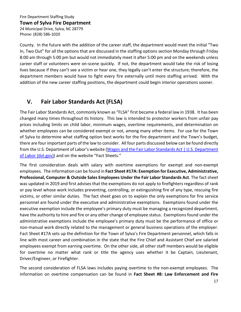### **Town of Sylva Fire Department**

24 Municipal Drive, Sylva, NC 28779 Phone: (828) 586-1020

County. In the future with the addition of the career staff, the department would meet the initial "Two In, Two Out" for all the options that are discussed in the staffing options section Monday through Friday 8:00 am through 5:00 pm but would not immediately meet it after 5:00 pm and on the weekends unless career staff or volunteers were on-scene quickly. If not, the department would take the risk of losing lives because if they can't see a victim or hear one, they legally can't enter the structure; therefore, the department members would have to fight every fire externally until more staffing arrived. With the addition of the new career staffing positions, the department could begin interior operations sooner.

# **V. Fair Labor Standards Act (FLSA)**

The Fair Labor Standards Act, commonly known as "FLSA" first became a federal law in 1938. It has been changed many times throughout its history. This law is intended to protector workers from unfair pay prices including limits on child labor, minimum wages, overtime requirements, and determination on whether employees can be considered exempt or not, among many other items. For use for the Town of Sylva to determine what staffing option best works for the fire department and the Town's budget, there are four important parts of the law to consider. All four parts discussed below can be found directly from the U.S. Department of Labor's website (Wages and the Fair Labor Standards Act | U.S. Department [of Labor \(dol.gov\)\)](https://www.dol.gov/agencies/whd/flsa) and on the website "Fact Sheets."

The first consideration deals with salary with overtime exemptions for exempt and non-exempt employees. The information can be found in **Fact Sheet #17A: Exemption for Executive, Administrative, Professional, Computer & Outside Sales Employees Under the Fair Labor Standards Act**. The fact sheet was updated in 2019 and first advises that the exemptions do not apply to firefighters regardless of rank or pay level whose work includes preventing, controlling, or extinguishing fire of any type, rescuing fire victims, or other similar duties. The fact sheet goes on to explain the only exemptions for fire service personnel are found under the executive and administrative exemptions. Exemptions found under the executive exemption include the employee's primary duty must be managing a recognized department, have the authority to hire and fire or any other change of employee status. Exemptions found under the administrative exemptions include the employee's primary duty must be the performance of office or non-manual work directly related to the management or general business operations of the employer. Fact Sheet #17A sets up the definition for the Town of Sylva's Fire Department personnel, which falls in line with most career and combination in the state that the Fire Chief and Assistant Chief are salaried employees exempt from earning overtime. On the other side, all other staff members would be eligible for overtime no matter what rank or title the agency uses whether it be Captain, Lieutenant, Driver/Engineer, or Firefighter.

The second consideration of FLSA laws includes paying overtime to the non-exempt employees. The information on overtime compensation can be found in **Fact Sheet #8: Law Enforcement and Fire**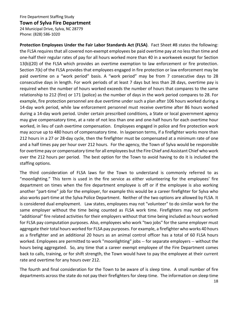### **Town of Sylva Fire Department**

24 Municipal Drive, Sylva, NC 28779 Phone: (828) 586-1020

**Protection Employees Under the Fair Labor Standards Act (FLSA)**. Fact Sheet #8 states the following: the FLSA requires that all covered non-exempt employees be paid overtime pay at no less than time and one-half their regular rates of pay for all hours worked more than 40 in a workweek except for Section 13(b)(20) of the FLSA which provides an overtime exemption to law enforcement or fire protection. Section 7(k) of the FLSA provides that employees engaged in fire protection or law enforcement may be paid overtime on a "work period" basis. A "work period" may be from 7 consecutive days to 28 consecutive days in length. For work periods of at least 7 days but less than 28 days, overtime pay is required when the number of hours worked exceeds the number of hours that compares to the same relationship to 212 (fire) or 171 (police) as the number of days in the work period compares to 28. For example, fire protection personnel are due overtime under such a plan after 106 hours worked during a 14-day work period, while law enforcement personnel must receive overtime after 86 hours worked during a 14-day work period. Under certain prescribed conditions, a State or local government agency may give compensatory time, at a rate of not less than one and one-half hours for each overtime hour worked, in lieu of cash overtime compensation. Employees engaged in police and fire protection work may accrue up to 480 hours of compensatory time. In layperson terms, if a firefighter works more than 212 hours in a 27 or 28-day cycle, then the firefighter must be compensated at a minimum rate of one and a half times pay per hour over 212 hours. For the agency, the Town of Sylva would be responsible for overtime pay or compensatory time for all employees but the Fire Chief and Assistant Chief who work over the 212 hours per period. The best option for the Town to avoid having to do it is included the staffing options.

The third consideration of FLSA laws for the Town to understand is commonly referred to as "moonlighting." This term is used in the fire service as either volunteering for the employees' fire department on times when the fire department employee is off or if the employee is also working another "part-time" job for the employer, for example this would be a career firefighter for Sylva who also works part-time at the Sylva Police Department. Neither of the two options are allowed by FLSA. It is considered dual employment. Law states, employees may not "volunteer" to do similar work for the same employer without the time being counted as FLSA work time. Firefighters may not perform "additional" fire related activities for their employers without that time being included as hours worked for FLSA pay computation purposes. Also, employees who work "two jobs" for the same employer must aggregate their total hours worked for FLSA pay purposes. For example, a firefighter who works 40 hours as a firefighter and an additional 20 hours as an animal control officer has a total of 60 FLSA hours worked. Employees are permitted to work "moonlighting" jobs -- for separate employers -- without the hours being aggregated. So, any time that a career exempt employee of the Fire Department comes back to calls, training, or for shift strength, the Town would have to pay the employee at their current rate and overtime for any hours over 212.

The fourth and final consideration for the Town to be aware of is sleep time. A small number of fire departments across the state do not pay their firefighters for sleep time. The information on sleep time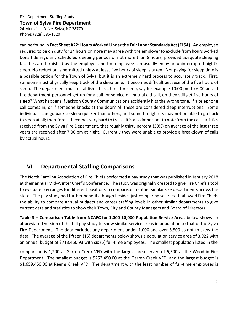## **Town of Sylva Fire Department**

24 Municipal Drive, Sylva, NC 28779 Phone: (828) 586-1020

can be found in **Fact Sheet #22: Hours Worked Under the Fair Labor Standards Act (FLSA)**. An employee required to be on duty for 24 hours or more may agree with the employer to exclude from hours worked bona fide regularly scheduled sleeping periods of not more than 8 hours, provided adequate sleeping facilities are furnished by the employer and the employee can usually enjoy an uninterrupted night's sleep. No reduction is permitted unless at least five hours of sleep is taken. Not paying for sleep time is a possible option for the Town of Sylva, but it is an extremely hard process to accurately track. First, someone must physically keep track of the sleep time. It becomes difficult because of the five hours of sleep. The department must establish a basic time for sleep, say for example 10:00 pm to 6:00 am. If fire department personnel get up for a call for service or mutual aid call, do they still get five hours of sleep? What happens if Jackson County Communications accidently hits the wrong tone, if a telephone call comes in, or if someone knocks at the door? All these are considered sleep interruptions. Some individuals can go back to sleep quicker than others, and some firefighters may not be able to go back to sleep at all; therefore, it becomes very hard to track. It is also important to note from the call statistics received from the Sylva Fire Department, that roughly thirty percent (30%) on average of the last three years are received after 7:00 pm at night. Currently they were unable to provide a breakdown of calls by actual hours.

# **VI. Departmental Staffing Comparisons**

The North Carolina Association of Fire Chiefs performed a pay study that was published in January 2018 at their annual Mid-Winter Chief's Conference. The study was originally created to give Fire Chiefs a tool to evaluate pay ranges for different positions in comparison to other similar size departments across the state. The pay study had further benefits though besides just comparing salaries. It allowed Fire Chiefs the ability to compare annual budgets and career staffing levels in other similar departments to give current data and statistics to show their Town, City and County Managers and Board of Directors.

**Table 3 – Comparison Table from NCAFC for 1,000-10,000 Population Service Areas** below shows an abbreviated version of the full pay study to show similar service areas in population to that of the Sylva Fire Department. The data excludes any department under 1,000 and over 6,500 as not to skew the data. The average of the fifteen (15) departments below shows a population service area of 3,922 with an annual budget of \$713,450.93 with six (6) full-time employees. The smallest population listed in the

comparison is 1,200 at Garren Creek VFD with the largest area served of 6,500 at the Woodfin Fire Department. The smallest budget is \$252,490.00 at the Garren Creek VFD, and the largest budget is \$1,659,450.00 at Reems Creek VFD. The department with the least number of full-time employees is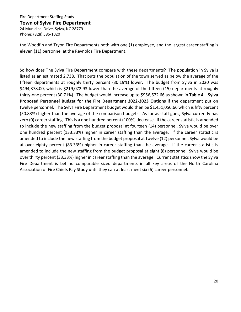#### **Town of Sylva Fire Department**

24 Municipal Drive, Sylva, NC 28779 Phone: (828) 586-1020

the Woodfin and Tryon Fire Departments both with one (1) employee, and the largest career staffing is eleven (11) personnel at the Reynolds Fire Department.

So how does The Sylva Fire Department compare with these departments? The population in Sylva is listed as an estimated 2,738. That puts the population of the town served as below the average of the fifteen departments at roughly thirty percent (30.19%) lower. The budget from Sylva in 2020 was \$494,378.00, which is \$219,072.93 lower than the average of the fifteen (15) departments at roughly thirty-one percent (30.71%). The budget would increase up to \$956,672.66 as shown in **Table 4 – Sylva Proposed Personnel Budget for the Fire Department 2022-2023 Options** if the department put on twelve personnel. The Sylva Fire Department budget would then be \$1,451,050.66 which is fifty percent (50.83%) higher than the average of the comparison budgets. As far as staff goes, Sylva currently has zero (0) career staffing. This is a one hundred percent (100%) decrease. If the career statistic is amended to include the new staffing from the budget proposal at fourteen (14) personnel, Sylva would be over one hundred percent (133.33%) higher in career staffing than the average. If the career statistic is amended to include the new staffing from the budget proposal at twelve (12) personnel, Sylva would be at over eighty percent (83.33%) higher in career staffing than the average. If the career statistic is amended to include the new staffing from the budget proposal at eight (8) personnel, Sylva would be over thirty percent (33.33%) higher in career staffing than the average. Current statistics show the Sylva Fire Department is behind comparable sized departments in all key areas of the North Carolina Association of Fire Chiefs Pay Study until they can at least meet six (6) career personnel.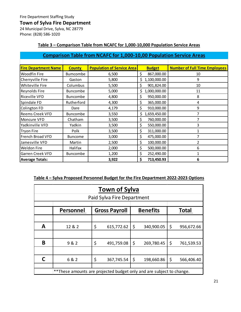# **Town of Sylva Fire Department**

24 Municipal Drive, Sylva, NC 28779 Phone: (828) 586-1020

# **Table 3 – Comparison Table from NCAFC for 1,000-10,000 Population Service Areas**

# **Comparison Table from NCAFC for 1,000-10,00 Population Service Areas**

| <b>Fire Department Name</b> | <b>County</b>   | <b>Population of Service Area</b> | <b>Budget</b>      | <b>Number of Full Time Employees</b> |
|-----------------------------|-----------------|-----------------------------------|--------------------|--------------------------------------|
| <b>Woodfin Fire</b>         | <b>Bumcombe</b> | 6,500                             | \$<br>867,000.00   | 10                                   |
| Cherryville Fire            | Gaston          | 5,800                             | 1,100,000.00<br>Ś  | 9                                    |
| Whiteville Fire             | Columbus        | 5,500                             | 901,824.00<br>\$   | 10                                   |
| Reynolds Fire               | <b>Buncombe</b> | 5,000                             | 1,000,000.00<br>\$ | 11                                   |
| <b>Riceville VFD</b>        | <b>Buncombe</b> | 4,800                             | \$<br>950,000.00   | 8                                    |
| Spindale FD                 | Rutherford      | 4,300                             | \$<br>365,000.00   | 4                                    |
| Colington FD                | Dare            | 4,179                             | \$<br>910,000.00   | 9                                    |
| <b>Reems Creek VFD</b>      | <b>Buncombe</b> | 3,550                             | \$<br>1,659,450.00 | 7                                    |
| Moncure VFD                 | Chatham         | 3,500                             | \$<br>760,000.00   | 7                                    |
| Yadkinville VFD             | Yadkin          | 3,500                             | \$<br>550,000.00   | 3                                    |
| <b>Tryon Fire</b>           | Polk            | 3,500                             | \$<br>311,000.00   | 1                                    |
| French Broad VFD            | <b>Buncome</b>  | 3,000                             | \$<br>475,000.00   | 7                                    |
| Jamesville VFD              | Martin          | 2,500                             | \$<br>100,000.00   | 2                                    |
| <b>Weldon Fire</b>          | Halifax         | 2,000                             | \$<br>500,000.00   | 6                                    |
| Garren Creek VFD            | Buncombe        | 1,200                             | \$<br>252,490.00   | 1                                    |
| <b>Average Totals:</b>      |                 | 3,922                             | \$<br>713,450.93   | 6                                    |

# **Table 4 – Sylva Proposed Personnel Budget for the Fire Department 2022-2023 Options**

|   | <b>Town of Sylva</b>                                                  |    |                            |    |                 |    |              |
|---|-----------------------------------------------------------------------|----|----------------------------|----|-----------------|----|--------------|
|   |                                                                       |    | Paid Sylva Fire Department |    |                 |    |              |
|   |                                                                       |    |                            |    |                 |    |              |
|   | <b>Personnel</b>                                                      |    | <b>Gross Payroll</b>       |    | <b>Benefits</b> |    | <b>Total</b> |
|   |                                                                       |    |                            |    |                 |    |              |
| A | 12 & 2                                                                | \$ | 615,772.62                 | \$ | 340,900.05      | \$ | 956,672.66   |
|   |                                                                       |    |                            |    |                 |    |              |
| B | 9 & 2                                                                 | \$ | 491,759.08                 | \$ | 269,780.45      | \$ | 761,539.53   |
|   |                                                                       |    |                            |    |                 |    |              |
| C | 6 & 2                                                                 | \$ | 367,745.54                 | \$ | 198,660.86      | \$ | 566,406.40   |
|   |                                                                       |    |                            |    |                 |    |              |
|   | ** These amounts are projected budget only and are subject to change. |    |                            |    |                 |    |              |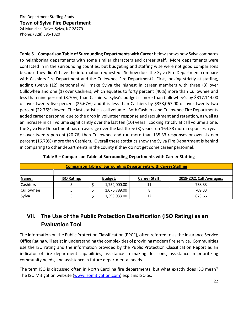## **Town of Sylva Fire Department**

24 Municipal Drive, Sylva, NC 28779 Phone: (828) 586-1020

**Table 5 – Comparison Table of Surrounding Departments with Career** below shows how Sylva compares to neighboring departments with some similar characters and career staff. More departments were contacted in in the surrounding counties, but budgeting and staffing wise were not good comparisons because they didn't have the information requested. So how does the Sylva Fire Department compare with Cashiers Fire Department and the Cullowhee Fire Department? First, looking strictly at staffing, adding twelve (12) personnel will make Sylva the highest in career members with three (3) over Cullowhee and one (1) over Cashiers, which equates to forty percent (40%) more than Cullowhee and less than nine percent (8.70%) than Cashiers. Sylva's budget is more than Cullowhee's by \$317,144.00 or over twenty-five percent (25.67%) and it is less than Cashiers by \$358,067.00 or over twenty-two percent (22.76%) lower. The last statistic is call volume. Both Cashiers and Cullowhee Fire Departments added career personnel due to the drop in volunteer response and recruitment and retention, as well as an increase in call volume significantly over the last ten (10) years. Looking strictly at call volume alone, the Sylva Fire Department has on average over the last three (3) years run 164.33 more responses a year or over twenty percent (20.76) than Cullowhee and run more than 135.33 responses or over sixteen percent (16.79%) more than Cashiers. Overall these statistics show the Sylva Fire Department is behind in comparing to other departments in the county if they do not get some career personnel.

|                  | <b>Comparison Table of Surrounding Departments with Career Staffing</b> |  |                |                      |                          |  |  |
|------------------|-------------------------------------------------------------------------|--|----------------|----------------------|--------------------------|--|--|
|                  |                                                                         |  |                |                      |                          |  |  |
| Name:            | <b>ISO Rating:</b>                                                      |  | <b>Budget:</b> | <b>Career Staff:</b> | 2019-2021 Call Averages: |  |  |
| Cashiers         |                                                                         |  | 1,752,000.00   | 11                   | 738.33                   |  |  |
| <b>Cullowhee</b> |                                                                         |  | 1,076,789.00   |                      | 709.33                   |  |  |
| Sylva            |                                                                         |  | 1,393,933.00   | 12                   | 873.66                   |  |  |

# **Table 5 – Comparison Table of Surrounding Departments with Career Staffing**

# **VII. The Use of the Public Protection Classification (ISO Rating) as an Evaluation Tool**

The information on the Public Protection Classification (PPC®), often referred to as the Insurance Service Office Rating will assist in understanding the complexities of providing modern fire service. Communities use the ISO rating and the information provided by the Public Protection Classification Report as an indicator of fire department capabilities, assistance in making decisions, assistance in prioritizing community needs, and assistance in future departmental needs.

The term ISO is discussed often in North Carolina fire departments, but what exactly does ISO mean? The ISO Mitigation website [\(www.isomitigation.com\)](http://www.isomitigation.com/) explains ISO as: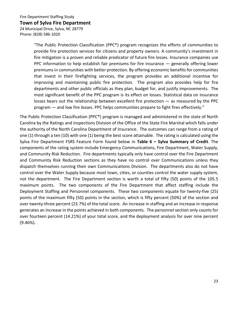## **Town of Sylva Fire Department**

24 Municipal Drive, Sylva, NC 28779 Phone: (828) 586-1020

> "The Public Protection Classification (PPC<sup>®</sup>) program recognizes the efforts of communities to provide fire protection services for citizens and property owners. A community's investment in fire mitigation is a proven and reliable predicator of future fire losses. Insurance companies use PPC information to help establish fair premiums for fire insurance — generally offering lower premiums in communities with better protection. By offering economic benefits for communities that invest in their firefighting services, the program provides an additional incentive for improving and maintaining public fire protection. The program also provides help for fire departments and other public officials as they plan, budget for, and justify improvements. The most significant benefit of the PPC program is its effect on losses. Statistical data on insurance losses bears out the relationship between excellent fire protection — as measured by the PPC program — and low fire losses. PPC helps communities prepare to fight fires effectively."

The Public Protection Classification (PPC®) program is managed and administered in the state of North Carolina by the Ratings and Inspections Division of the Office of the State Fire Marshal which falls under the authority of the North Carolina Department of Insurance. The outcomes can range from a rating of one (1) through a ten (10) with one (1) being the best score attainable. The rating is calculated using the Sylva Fire Department FSRS Feature Form found below in **Table 6 – Sylva Summary of Credit**. The components of the rating system include Emergency Communications, Fire Department, Water Supply, and Community Risk Reduction. Fire departments typically only have control over the Fire Department and Community Risk Reduction sections as they have no control over Communications unless they dispatch themselves running their own Communications Division. The departments also do not have control over the Water Supply because most town, cities, or counties control the water supply system, not the department. The Fire Department section is worth a total of fifty (50) points of the 105.5 maximum points. The two components of the Fire Department that affect staffing include the Deployment Staffing and Personnel components. These two components equate for twenty-five (25) points of the maximum fifty (50) points in the section, which is fifty percent (50%) of the section and over twenty-three percent (23.7%) of the total score. An increase in staffing and an increase in response generates an increase in the points achieved in both components. The personnel section only counts for over fourteen percent (14.21%) of your total score, and the deployment analysis for over nine percent (9.46%).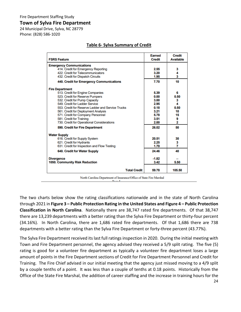24 Municipal Drive, Sylva, NC 28779 Phone: (828) 586-1020

# **Table 6- Sylva Summary of Credit**

| <b>FSRS Feature</b>                                                     | <b>Earned</b><br><b>Credit</b> | <b>Credit</b><br><b>Available</b> |
|-------------------------------------------------------------------------|--------------------------------|-----------------------------------|
| <b>Emergency Communications</b>                                         |                                |                                   |
| 414. Credit for Emergency Reporting                                     | 2.55                           | з                                 |
| 422. Credit for Telecommunicators                                       | 3.20                           | 4                                 |
| 432. Credit for Dispatch Circuits                                       | 1.95                           | 3                                 |
| 440. Credit for Emergency Communications                                | 7.70                           | 10                                |
| <b>Fire Department</b>                                                  |                                |                                   |
| 513. Credit for Engine Companies                                        | 5.39                           | 6                                 |
| 523. Credit for Reserve Pumpers                                         | 0.00                           | 0.50                              |
| 532. Credit for Pump Capacity                                           | 3.00                           | з                                 |
| 549. Credit for Ladder Service                                          | 2.95                           | 4                                 |
| 553. Credit for Reserve Ladder and Service Trucks                       | 0.18                           | 0.50                              |
| 561. Credit for Deployment Analysis                                     | 3.21                           | 10                                |
| 571. Credit for Company Personnel                                       | 5.78                           | 15                                |
| 581. Credit for Training<br>730. Credit for Operational Considerations  | 3.51<br>2.00                   | 9<br>$\overline{2}$               |
| 590. Credit for Fire Department                                         | 26.02                          | 50                                |
|                                                                         |                                |                                   |
| <b>Water Supply</b>                                                     |                                |                                   |
| 616. Credit for Supply System                                           | 20.51                          | 30                                |
| 621. Credit for Hydrants<br>631. Credit for Inspection and Flow Testing | 2.25<br>1.70                   | 3<br>7                            |
|                                                                         |                                |                                   |
| 640. Credit for Water Supply                                            | 24.46                          | 40                                |
| <b>Divergence</b>                                                       | $-1.82$                        |                                   |
| <b>1050. Community Risk Reduction</b>                                   | 3.42                           | 5.50                              |
| <b>Total Credit</b>                                                     | 59.78                          | 105.50                            |

North Carolina Department of Insurance/Office of State Fire Marshal

The two charts below show the rating classifications nationwide and in the state of North Carolina through 2021 in **Figure 3 – Public Protection Rating in the United States and Figure 4 – Public Protection Classification in North Carolina**. Nationally there are 38,747 rated fire departments. Of that 38,747 there are 13,239 departments with a better rating than the Sylva Fire Department or thirty-four percent (34.16%). In North Carolina, there are 1,686 rated fire departments. Of that 1,686 there are 738 departments with a better rating than the Sylva Fire Department or forty-three percent (43.77%).

The Sylva Fire Department received its last full ratings inspection in 2020. During the initial meeting with Town and Fire Department personnel, the agency advised they received a 5/9 split rating. The five (5) rating is good for a volunteer fire department as typically a volunteer fire department loses a large amount of points in the Fire Department sections of Credit for Fire Department Personnel and Credit for Training. The Fire Chief advised in our initial meeting that the agency just missed moving to a 4/9 split by a couple tenths of a point. It was less than a couple of tenths at 0.18 points. Historically from the Office of the State Fire Marshal, the addition of career staffing and the increase in training hours for the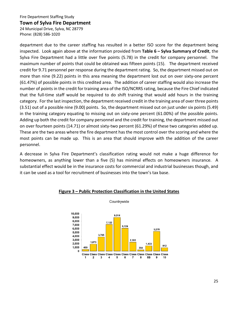#### **Town of Sylva Fire Department**

24 Municipal Drive, Sylva, NC 28779 Phone: (828) 586-1020

department due to the career staffing has resulted in a better ISO score for the department being inspected. Look again above at the information provided from **Table 6 – Sylva Summary of Credit**, the Sylva Fire Department had a little over five points (5.78) in the credit for company personnel. The maximum number of points that could be obtained was fifteen points (15). The department received credit for 9.71 personnel per response during the department rating. So, the department missed out on more than nine (9.22) points in this area meaning the department lost out on over sixty-one percent (61.47%) of possible points in this credited area. The addition of career staffing would also increase the number of points in the credit for training area of the ISO/NCRRS rating, because the Fire Chief indicated that the full-time staff would be required to do shift training that would add hours in the training category. For the last inspection, the department received credit in the training area of over three points (3.51) out of a possible nine (9.00) points. So, the department missed out on just under six points (5.49) in the training category equating to missing out on sixty-one percent (61.00%) of the possible points. Adding up both the credit for company personnel and the credit for training, the department missed out on over fourteen points (14.71) or almost sixty-two percent (61.29%) of these two categories added up. These are the two areas where the fire department has the most control over the scoring and where the most points can be made up. This is an area that should improve with the addition of the career personnel.

A decrease in Sylva Fire Department's classification rating would not make a huge difference for homeowners, as anything lower than a five (5) has minimal effects on homeowners insurance. A substantial effect would be in the insurance costs for commercial and industrial businesses though, and it can be used as a tool for recruitment of businesses into the town's tax base.



#### **Figure 3 – Public Protection Classification in the United States**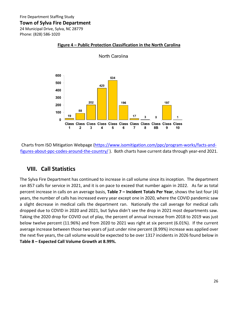24 Municipal Drive, Sylva, NC 28779 Phone: (828) 586-1020



North Carolina

**Figure 4 – Public Protection Classification in the North Carolina**

Charts from ISO Mitigation Webpage [\(https://www.isomitigation.com/ppc/program-works/facts-and](https://www.isomitigation.com/ppc/program-works/facts-and-figures-about-ppc-codes-around-the-country/)[figures-about-ppc-codes-around-the-country/](https://www.isomitigation.com/ppc/program-works/facts-and-figures-about-ppc-codes-around-the-country/)). Both charts have current data through year-end 2021.

# **VIII. Call Statistics**

The Sylva Fire Department has continued to increase in call volume since its inception. The department ran 857 calls for service in 2021, and it is on pace to exceed that number again in 2022. As far as total percent increase in calls on an average basis, **Table 7 – Incident Totals Per Year**, shows the last four (4) years, the number of calls has increased every year except one in 2020, where the COVID pandemic saw a slight decrease in medical calls the department ran. Nationally the call average for medical calls dropped due to COVID in 2020 and 2021, but Sylva didn't see the drop in 2021 most departments saw. Taking the 2020 drop for COVID out of play, the percent of annual increase from 2018 to 2019 was just below twelve percent (11.96%) and from 2020 to 2021 was right at six percent (6.01%). If the current average increase between those two years of just under nine percent (8.99%) increase was applied over the next five years, the call volume would be expected to be over 1317 incidents in 2026 found below in **Table 8 – Expected Call Volume Growth at 8.99%.**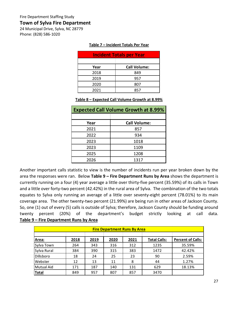24 Municipal Drive, Sylva, NC 28779 Phone: (828) 586-1020

| <b>Incident Totals per Year</b> |                     |  |  |  |
|---------------------------------|---------------------|--|--|--|
|                                 |                     |  |  |  |
| Year                            | <b>Call Volume:</b> |  |  |  |
| 2018                            | 849                 |  |  |  |
| 2019                            | 957                 |  |  |  |
| 2020                            | 807                 |  |  |  |
| 2021                            | 857                 |  |  |  |

#### **Table 8 – Expected Call Volume Growth at 8.99%**

| <b>Expected Call Volume Growth at 8.99%</b> |                     |  |  |  |
|---------------------------------------------|---------------------|--|--|--|
|                                             |                     |  |  |  |
| Year                                        | <b>Call Volume:</b> |  |  |  |
| 2021                                        | 857                 |  |  |  |
| 2022                                        | 934                 |  |  |  |
| 2023                                        | 1018                |  |  |  |
| 2023                                        | 1109                |  |  |  |
| 2025                                        | 1208                |  |  |  |
| 2026                                        | 1317                |  |  |  |

Another important calls statistic to view is the number of incidents run per year broken down by the area the responses were ran. Below **Table 9 – Fire Department Runs by Area** shows the department is currently running on a four (4) year average a little over thirty-five percent (35.59%) of its calls in Town and a little over forty-two percent (42.42%) in the rural area of Sylva. The combination of the two totals equates to Sylva only running an average of a little over seventy-eight percent (78.01%) to its main coverage area. The other twenty-two percent (21.99%) are being run in other areas of Jackson County. So, one (1) out of every (5) calls is outside of Sylva; therefore, Jackson County should be funding around twenty percent (20%) of the department's budget strictly looking at call data. **Table 9 – Fire Department Runs by Area** 

| <b>Fire Department Runs By Area</b> |      |      |      |      |                     |                          |
|-------------------------------------|------|------|------|------|---------------------|--------------------------|
|                                     |      |      |      |      |                     |                          |
| Area:                               | 2018 | 2019 | 2020 | 2021 | <b>Total Calls:</b> | <b>Percent of Calls:</b> |
| Sylva Town                          | 264  | 343  | 316  | 312  | 1235                | 35.59%                   |
| Sylva Rural                         | 384  | 390  | 315  | 383  | 1472                | 42.42%                   |
| Dillsboro                           | 18   | 24   | 25   | 23   | 90                  | 2.59%                    |
| Webster                             | 12   | 13   | 11   | 8    | 44                  | 1.27%                    |
| Mutual Aid                          | 171  | 187  | 140  | 131  | 629                 | 18.13%                   |
| <b>Total</b>                        | 849  | 957  | 807  | 857  | 3470                |                          |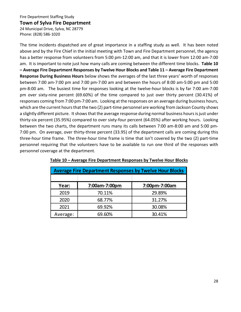### **Town of Sylva Fire Department**

24 Municipal Drive, Sylva, NC 28779 Phone: (828) 586-1020

The time incidents dispatched are of great importance in a staffing study as well. It has been noted above and by the Fire Chief in the initial meeting with Town and Fire Department personnel, the agency has a better response from volunteers from 5:00 pm-12:00 am, and that it is lower from 12:00 am-7:00 am. It is important to note just how many calls are coming between the different time blocks. **Table 10 – Average Fire Department Responses by Twelve Hour Blocks and Table 11 – Average Fire Department Response During Business Hours** below shows the averages of the last three years' worth of responses between 7:00 am-7:00 pm and 7:00 pm-7:00 am and between the hours of 8:00 am-5:00 pm and 5:00 pm-8:00 am. The busiest time for responses looking at the twelve-hour blocks is by far 7:00 am-7:00 pm over sixty-nine percent (69.60%) of the time compared to just over thirty percent (30.41%) of responses coming from 7:00 pm-7:00 am. Looking at the responses on an average during business hours, which are the current hours that the two (2) part-time personnel are working from Jackson County shows a slightly different picture. It shows that the average response during normal business hours is just under thirty-six percent (35.95%) compared to over sixty-four percent (64.05%) after working hours. Looking between the two charts, the department runs many its calls between 7:00 am-8:00 am and 5:00 pm-7:00 pm. On average, over thirty-three percent (33.95) of the department calls are coming during this three-hour time frame. The three-hour time frame is time that isn't covered by the two (2) part-time personnel requiring that the volunteers have to be available to run one third of the responses with personnel coverage at the department.

| <b>Average Fire Department Responses by Twelve Hour Blocks</b> |               |               |  |  |  |  |
|----------------------------------------------------------------|---------------|---------------|--|--|--|--|
| Year:                                                          | 7:00am-7:00pm | 7:00pm-7:00am |  |  |  |  |
| 2019                                                           | 70.11%        | 29.89%        |  |  |  |  |
| 2020                                                           | 68.77%        | 31.27%        |  |  |  |  |
| 2021                                                           | 69.92%        | 30.08%        |  |  |  |  |
| Average:                                                       | 69.60%        | 30.41%        |  |  |  |  |

## **Table 10 – Average Fire Department Responses by Twelve Hour Blocks**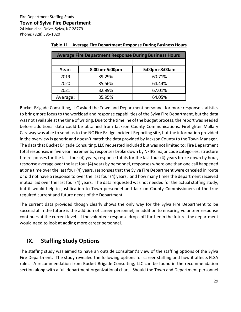24 Municipal Drive, Sylva, NC 28779 Phone: (828) 586-1020

| <b>Average Fire Department Response During Business Hours</b> |               |               |
|---------------------------------------------------------------|---------------|---------------|
|                                                               |               |               |
| Year:                                                         | 8:00am-5:00pm | 5:00pm-8:00am |
| 2019                                                          | 39.29%        | 60.71%        |
| 2020                                                          | 35.56%        | 64.44%        |
| 2021                                                          | 32.99%        | 67.01%        |
| Average:                                                      | 35.95%        | 64.05%        |

# **Table 11 – Average Fire Department Response During Business Hours**

Bucket Brigade Consulting, LLC asked the Town and Department personnel for more response statistics to bring more focus to the workload and response capabilities of the Sylva Fire Department, but the data was not available at the time of writing. Due to the timeline of the budget process, the report was needed before additional data could be obtained from Jackson County Communications. Firefighter Mallary Caraway was able to send us to the NC Fire Bridge Incident Reporting site, but the information provided in the overview is generic and doesn't match the data provided by Jackson County to the Town Manager. The data that Bucket Brigade Consulting, LLC requested included but was not limited to: Fire Department total responses in five year increments, responses broke down by NFIRS major code categories, structure fire responses for the last four (4) years, response totals for the last four (4) years broke down by hour, response average over the last four (4) years by personnel, responses where one than one call happened at one time over the last four (4) years, responses that the Sylva Fire Department were canceled in route or did not have a response to over the last four (4) years, and how many times the department received mutual aid over the last four (4) years. The data requested was not needed for the actual staffing study, but it would help in justification to Town personnel and Jackson County Commissioners of the true required current and future needs of the Department.

The current data provided though clearly shows the only way for the Sylva Fire Department to be successful in the future is the addition of career personnel, in addition to ensuring volunteer response continues at the current level. If the volunteer response drops off further in the future, the department would need to look at adding more career personnel.

# **IX. Staffing Study Options**

The staffing study was aimed to have an outside consultant's view of the staffing options of the Sylva Fire Department. The study revealed the following options for career staffing and how it affects FLSA rules. A recommendation from Bucket Brigade Consulting, LLC can be found in the recommendation section along with a full department organizational chart. Should the Town and Department personnel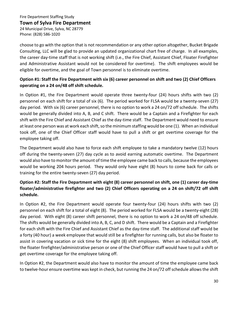# **Town of Sylva Fire Department**

24 Municipal Drive, Sylva, NC 28779 Phone: (828) 586-1020

choose to go with the option that is not recommendation or any other option altogether, Bucket Brigade Consulting, LLC will be glad to provide an updated organizational chart free of charge. In all examples, the career day-time staff that is not working shift (i.e., the Fire Chief, Assistant Chief, Floater Firefighter and Administrative Assistant would not be considered for overtime). The shift employees would be eligible for overtime, and the goal of Town personnel is to eliminate overtime.

# **Option #1: Staff the Fire Department with six (6) career personnel on shift and two (2) Chief Officers operating on a 24 on/48 off shift schedule.**

In Option #1, the Fire Department would operate three twenty-four (24) hours shifts with two (2) personnel on each shift for a total of six (6). The period worked for FLSA would be a twenty-seven (27) day period. With six (6) career personnel, there is no option to work a 24 on/72 off schedule. The shifts would be generally divided into A, B, and C shift. There would be a Captain and a Firefighter for each shift with the Fire Chief and Assistant Chief as the day-time staff. The Department would need to ensure at least one person was at work each shift, so the minimum staffing would be one (1). When an individual took off, one of the Chief Officer staff would have to pull a shift or get overtime coverage for the employee taking off.

The Department would also have to force each shift employee to take a mandatory twelve (12) hours off during the twenty-seven (27) day cycle as to avoid earning automatic overtime. The Department would also have to monitor the amount of time the employee came back to calls, because the employees would be working 204 hours period. They would only have eight (8) hours to come back for calls or training for the entire twenty-seven (27) day period.

# **Option #2: Staff the Fire Department with eight (8) career personnel on shift, one (1) career day-time floater/administrative firefighter and two (2) Chief Officers operating on a 24 on shift/72 off shift schedule.**

In Option #2, the Fire Department would operate four twenty-four (24) hours shifts with two (2) personnel on each shift for a total of eight (8). The period worked for FLSA would be a twenty-eight (28) day period. With eight (8) career shift personnel, there is no option to work a 24 on/48 off schedule. The shifts would be generally divided into A, B, C, and D shift. There would be a Captain and a Firefighter for each shift with the Fire Chief and Assistant Chief as the day-time staff. The additional staff would be a forty (40 hour) a week employee that would still be a firefighter for running calls, but also be floater to assist in covering vacation or sick time for the eight (8) shift employees. When an individual took off, the floater firefighter/administrative person or one of the Chief Officer staff would have to pull a shift or get overtime coverage for the employee taking off.

In Option #2, the Department would also have to monitor the amount of time the employee came back to twelve-hour ensure overtime was kept in check, but running the 24 on/72 off schedule allows the shift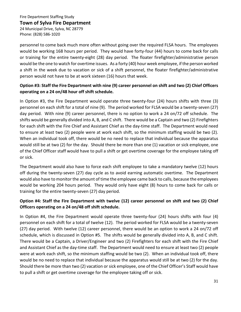## **Town of Sylva Fire Department**

24 Municipal Drive, Sylva, NC 28779 Phone: (828) 586-1020

personnel to come back much more often without going over the required FLSA hours. The employees would be working 168 hours per period. They would have forty-four (44) hours to come back for calls or training for the entire twenty-eight (28) day period. The floater firefighter/administrative person would be the one to watch for overtime issues. As a forty (40) hour week employee, if the person worked a shift in the week due to vacation or sick of a shift personnel, the floater firefighter/administrative person would not have to be at work sixteen (16) hours that week.

# **Option #3: Staff the Fire Department with nine (9) career personnel on shift and two (2) Chief Officers operating on a 24 on/48 hour off shift schedule.**

In Option #3, the Fire Department would operate three twenty-four (24) hours shifts with three (3) personnel on each shift for a total of nine (9). The period worked for FLSA would be a twenty-seven (27) day period. With nine (9) career personnel, there is no option to work a 24 on/72 off schedule. The shifts would be generally divided into A, B, and C shift. There would be a Captain and two (2) Firefighters for each shift with the Fire Chief and Assistant Chief as the day-time staff. The Department would need to ensure at least two (2) people were at work each shift, so the minimum staffing would be two (2). When an individual took off, there would be no need to replace that individual because the apparatus would still be at two (2) for the day. Should there be more than one (1) vacation or sick employee, one of the Chief Officer staff would have to pull a shift or get overtime coverage for the employee taking off or sick.

The Department would also have to force each shift employee to take a mandatory twelve (12) hours off during the twenty-seven (27) day cycle as to avoid earning automatic overtime. The Department would also have to monitor the amount of time the employee came back to calls, because the employees would be working 204 hours period. They would only have eight (8) hours to come back for calls or training for the entire twenty-seven (27) day period.

# **Option #4: Staff the Fire Department with twelve (12) career personnel on shift and two (2) Chief Officers operating on a 24 on/48 off shift schedule.**

In Option #4, the Fire Department would operate three twenty-four (24) hours shifts with four (4) personnel on each shift for a total of twelve (12). The period worked for FLSA would be a twenty-seven (27) day period. With twelve (12) career personnel, there would be an option to work a 24 on/72 off schedule, which is discussed in Option #5. The shifts would be generally divided into A, B, and C shift. There would be a Captain, a Driver/Engineer and two (2) Firefighters for each shift with the Fire Chief and Assistant Chief as the day-time staff. The Department would need to ensure at least two (2) people were at work each shift, so the minimum staffing would be two (2). When an individual took off, there would be no need to replace that individual because the apparatus would still be at two (2) for the day. Should there be more than two (2) vacation or sick employee, one of the Chief Officer's Staff would have to pull a shift or get overtime coverage for the employee taking off or sick.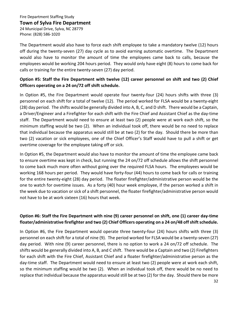# **Town of Sylva Fire Department**

24 Municipal Drive, Sylva, NC 28779 Phone: (828) 586-1020

The Department would also have to force each shift employee to take a mandatory twelve (12) hours off during the twenty-seven (27) day cycle as to avoid earning automatic overtime. The Department would also have to monitor the amount of time the employees came back to calls, because the employees would be working 204 hours period. They would only have eight (8) hours to come back for calls or training for the entire twenty-seven (27) day period.

# **Option #5: Staff the Fire Department with twelve (12) career personnel on shift and two (2) Chief Officers operating on a 24 on/72 off shift schedule.**

In Option #5, the Fire Department would operate four twenty-four (24) hours shifts with three (3) personnel on each shift for a total of twelve (12). The period worked for FLSA would be a twenty-eight (28) day period. The shifts would be generally divided into A, B, C, and D shift. There would be a Captain, a Driver/Engineer and a Firefighter for each shift with the Fire Chief and Assistant Chief as the day-time staff. The Department would need to ensure at least two (2) people were at work each shift, so the minimum staffing would be two (2). When an individual took off, there would be no need to replace that individual because the apparatus would still be at two (2) for the day. Should there be more than two (2) vacation or sick employees, one of the Chief Officer's Staff would have to pull a shift or get overtime coverage for the employee taking off or sick.

In Option #5, the Department would also have to monitor the amount of time the employee came back to ensure overtime was kept in check, but running the 24 on/72 off schedule allows the shift personnel to come back much more often without going over the required FLSA hours. The employees would be working 168 hours per period. They would have forty-four (44) hours to come back for calls or training for the entire twenty-eight (28) day period. The floater firefighter/administrative person would be the one to watch for overtime issues. As a forty (40) hour week employee, if the person worked a shift in the week due to vacation or sick of a shift personnel, the floater firefighter/administrative person would not have to be at work sixteen (16) hours that week.

# **Option #6: Staff the Fire Department with nine (9) career personnel on shift, one (1) career day-time floater/administrative firefighter and two (2) Chief Officers operating on a 24 on/48 off shift schedule.**

In Option #6, the Fire Department would operate three twenty-four (24) hours shifts with three (3) personnel on each shift for a total of nine (9). The period worked for FLSA would be a twenty-seven (27) day period. With nine (9) career personnel, there is no option to work a 24 on/72 off schedule. The shifts would be generally divided into A, B, and C shift. There would be a Captain and two (2) Firefighters for each shift with the Fire Chief, Assistant Chief and a floater firefighter/administrative person as the day-time staff. The Department would need to ensure at least two (2) people were at work each shift, so the minimum staffing would be two (2). When an individual took off, there would be no need to replace that individual because the apparatus would still be at two (2) for the day. Should there be more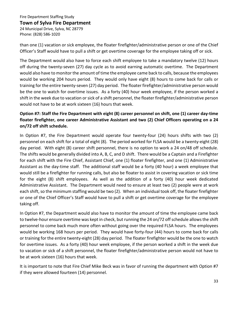# **Town of Sylva Fire Department**

24 Municipal Drive, Sylva, NC 28779 Phone: (828) 586-1020

than one (1) vacation or sick employee, the floater firefighter/administrative person or one of the Chief Officer's Staff would have to pull a shift or get overtime coverage for the employee taking off or sick.

The Department would also have to force each shift employee to take a mandatory twelve (12) hours off during the twenty-seven (27) day cycle as to avoid earning automatic overtime. The Department would also have to monitor the amount of time the employee came back to calls, because the employees would be working 204 hours period. They would only have eight (8) hours to come back for calls or training for the entire twenty-seven (27) day period. The floater firefighter/administrative person would be the one to watch for overtime issues. As a forty (40) hour week employee, if the person worked a shift in the week due to vacation or sick of a shift personnel, the floater firefighter/administrative person would not have to be at work sixteen (16) hours that week.

# **Option #7: Staff the Fire Department with eight (8) career personnel on shift, one (1) career day-time floater firefighter, one career Administrative Assistant and two (2) Chief Officers operating on a 24 on/72 off shift schedule.**

In Option #7, the Fire Department would operate four twenty-four (24) hours shifts with two (2) personnel on each shift for a total of eight (8). The period worked for FLSA would be a twenty-eight (28) day period. With eight (8) career shift personnel, there is no option to work a 24 on/48 off schedule. The shifts would be generally divided into A, B, C, and D shift. There would be a Captain and a Firefighter for each shift with the Fire Chief, Assistant Chief, one (1) floater firefighter, and one (1) Administrative Assistant as the day-time staff. The additional staff would be a forty (40 hour) a week employee that would still be a firefighter for running calls, but also be floater to assist in covering vacation or sick time for the eight (8) shift employees. As well as the addition of a forty (40) hour week dedicated Administrative Assistant. The Department would need to ensure at least two (2) people were at work each shift, so the minimum staffing would be two (2). When an individual took off, the floater firefighter or one of the Chief Officer's Staff would have to pull a shift or get overtime coverage for the employee taking off.

In Option #7, the Department would also have to monitor the amount of time the employee came back to twelve-hour ensure overtime was kept in check, but running the 24 on/72 off schedule allows the shift personnel to come back much more often without going over the required FLSA hours. The employees would be working 168 hours per period. They would have forty-four (44) hours to come back for calls or training for the entire twenty-eight (28) day period. The floater firefighter would be the one to watch for overtime issues. As a forty (40) hour week employee, if the person worked a shift in the week due to vacation or sick of a shift personnel, the floater firefighter/administrative person would not have to be at work sixteen (16) hours that week.

It is important to note that Fire Chief Mike Beck was in favor of running the department with Option #7 if they were allowed fourteen (14) personnel.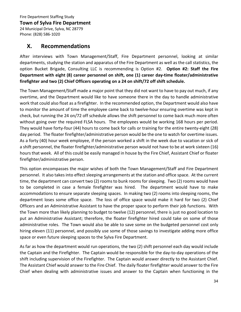24 Municipal Drive, Sylva, NC 28779 Phone: (828) 586-1020

# **X. Recommendations**

After interviews with Town Management/Staff, Fire Department personnel, looking at similar departments, studying the station and apparatus of the Fire Department as well as the call statistics, the option Bucket Brigade, Consulting LLC is recommending is Option #2. **Option #2: Staff the Fire Department with eight (8) career personnel on shift, one (1) career day-time floater/administrative firefighter and two (2) Chief Officers operating on a 24 on shift/72 off shift schedule.**

The Town Management/Staff made a major point that they did not want to have to pay out much, if any overtime, and the Department would like to have someone there in the day to handle administrative work that could also float as a firefighter. In the recommended option, the Department would also have to monitor the amount of time the employee came back to twelve-hour ensuring overtime was kept in check, but running the 24 on/72 off schedule allows the shift personnel to come back much more often without going over the required FLSA hours. The employees would be working 168 hours per period. They would have forty-four (44) hours to come back for calls or training for the entire twenty-eight (28) day period. The floater firefighter/administrative person would be the one to watch for overtime issues. As a forty (40) hour week employee, if the person worked a shift in the week due to vacation or sick of a shift personnel, the floater firefighter/administrative person would not have to be at work sixteen (16) hours that week. All of this could be easily managed in house by the Fire Chief, Assistant Chief or floater firefighter/administrative person.

This option encompasses the major wishes of both the Town Management/Staff and Fire Department personnel. It also takes into effect sleeping arrangements at the station and office space. At the current time, the department can convert two (2) rooms to bunk rooms for sleeping. Two (2) rooms would have to be completed in case a female firefighter was hired. The department would have to make accommodations to ensure separate sleeping spaces. In making two (2) rooms into sleeping rooms, the department loses some office space. The loss of office space would make it hard for two (2) Chief Officers and an Administrative Assistant to have the proper space to perform their job functions. With the Town more than likely planning to budget to twelve (12) personnel, there is just no good location to put an Administrative Assistant; therefore, the floater firefighter hired could take on some of those administrative roles. The Town would also be able to save some on the budgeted personnel cost only hiring eleven (11) personnel, and possibly use some of those savings to investigate adding more office space or even future sleeping spaces to the Sylva Fire Department.

As far as how the department would run operations, the two (2) shift personnel each day would include the Captain and the Firefighter. The Captain would be responsible for the day-to-day operations of the shift including supervision of the Firefighter. The Captain would answer directly to the Assistant Chief. The Assistant Chief would answer to the Fire Chief. The daily floater firefighter would answer to the Fire Chief when dealing with administrative issues and answer to the Captain when functioning in the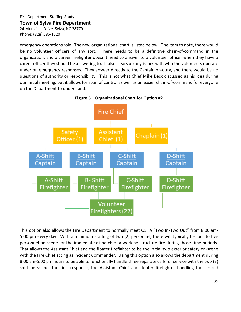24 Municipal Drive, Sylva, NC 28779 Phone: (828) 586-1020

emergency operations role. The new organizational chart is listed below. One item to note, there would be no volunteer officers of any sort. There needs to be a definitive chain-of-command in the organization, and a career firefighter doesn't need to answer to a volunteer officer when they have a career officer they should be answering to. It also clears up any issues with who the volunteers operate under on emergency responses. They answer directly to the Captain on-duty, and there would be no questions of authority or responsibility. This is not what Chief Mike Beck discussed as his idea during our initial meeting, but it allows for span of control as well as an easier chain-of-command for everyone on the Department to understand.



**Figure 5 – Organizational Chart for Option #2**

This option also allows the Fire Department to normally meet OSHA "Two In/Two Out" from 8:00 am-5:00 pm every day. With a minimum staffing of two (2) personnel, there will typically be four to five personnel on scene for the immediate dispatch of a working structure fire during those time periods. That allows the Assistant Chief and the floater firefighter to be the initial two exterior safety on-scene with the Fire Chief acting as Incident Commander. Using this option also allows the department during 8:00 am-5:00 pm hours to be able to functionally handle three separate calls for service with the two (2) shift personnel the first response, the Assistant Chief and floater firefighter handling the second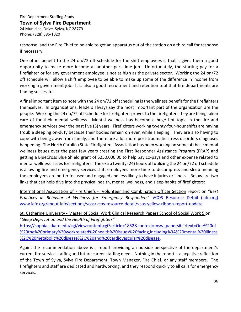### **Town of Sylva Fire Department**

24 Municipal Drive, Sylva, NC 28779 Phone: (828) 586-1020

response, and the Fire Chief to be able to get an apparatus out of the station on a third call for response if necessary.

One other benefit to the 24 on/72 off schedule for the shift employees is that it gives them a good opportunity to make more income at another part-time job. Unfortunately, the starting pay for a firefighter or for any government employee is not as high as the private sector. Working the 24 on/72 off schedule will allow a shift employee to be able to make up some of the difference in income from working a government job. It is also a good recruitment and retention tool that fire departments are finding successful.

A final important item to note with the 24 on/72 off scheduling is the wellness benefit for the firefighters themselves. In organizations, leaders always say the most important part of the organization are the people. Working the 24 on/72 off schedule for firefighters proves to the firefighters they are being taken care of for their mental wellness. Mental wellness has become a huge hot topic in the fire and emergency services over the past five (5) years. Firefighters working twenty-four-hour shifts are having trouble sleeping on-duty because their bodies remain on even while sleeping. They are also having to cope with being away from family, and there are a lot more post-traumatic stress disorders diagnoses happening. The North Carolina State Firefighters' Association has been working on some of these mental wellness issues over the past few years creating the First Responder Assistance Program (FRAP) and getting a BlueCross Blue Shield grant of \$250,000.00 to help pay co-pays and other expense related to mental wellness issues for firefighters. The extra twenty (24) hours off utilizing the 24 on/72 off schedule is allowing fire and emergency services shift employees more time to decompress and sleep meaning the employees are better focused and engaged and less likely to have injuries or illness. Below are two links that can help dive into the physical health, mental wellness, and sleep habits of firefighters:

International Association of Fire Chiefs - Volunteer and Combination Officer Section report on "*Best Practices in Behavior al Wellness for Emergency Responders"* [VCOS Resource Detail \(iafc.org\)](https://www.iafc.org/about-iafc/sections/vcos/vcos-resource-detail/vcos-yellow-ribbon-report-update) [www.iafc.org/about-iafc/sections/vcos/vcos-resource-detail/vcos-yellow-ribbon-report-update](http://www.iafc.org/about-iafc/sections/vcos/vcos-resource-detail/vcos-yellow-ribbon-report-update)

St. Catherine University - Master of Social Work Clinical Research Papers School of Social Work 5 on "*Sleep Deprivation and the Health of Firefighters"* 

[https://sophia.stkate.edu/cgi/viewcontent.cgi?article=1852&context=msw\\_papers#:~:text=One%20of](https://sophia.stkate.edu/cgi/viewcontent.cgi?article=1852&context=msw_papers#:%7E:text=One%20of%20the%20primary%20workrelated%20health%20issues%20facing,including%3A%20mental%20illness%2C%20metabolic%20disease%2C%20and%20cardiovascular%20disease) [%20the%20primary%20workrelated%20health%20issues%20facing,including%3A%20mental%20illness](https://sophia.stkate.edu/cgi/viewcontent.cgi?article=1852&context=msw_papers#:%7E:text=One%20of%20the%20primary%20workrelated%20health%20issues%20facing,including%3A%20mental%20illness%2C%20metabolic%20disease%2C%20and%20cardiovascular%20disease) [%2C%20metabolic%20disease%2C%20and%20cardiovascular%20disease.](https://sophia.stkate.edu/cgi/viewcontent.cgi?article=1852&context=msw_papers#:%7E:text=One%20of%20the%20primary%20workrelated%20health%20issues%20facing,including%3A%20mental%20illness%2C%20metabolic%20disease%2C%20and%20cardiovascular%20disease)

Again, the recommendation above is a report providing an outside perspective of the department's current fire service staffing and future career staffing needs. Nothing in the report is a negative reflection of the Town of Sylva, Sylva Fire Department, Town Manager, Fire Chief, or any staff members. The firefighters and staff are dedicated and hardworking, and they respond quickly to all calls for emergency services.